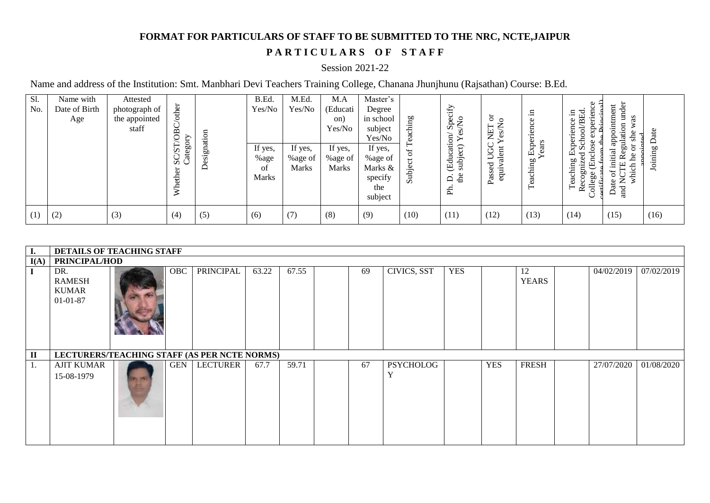## **FORMAT FOR PARTICULARS OF STAFF TO BE SUBMITTED TO THE NRC, NCTE,JAIPUR**

## PARTICULARS OF STAFF

## Session 2021-22

Name and address of the Institution: Smt. Manbhari Devi Teachers Training College, Chanana Jhunjhunu (Rajsathan) Course: B.Ed.

| Sl.<br>No. | Name with<br>Date of Birth<br>Age | Attested<br>photograph of<br>the appointed<br>staff | other<br>OBC                           | ation   | M.Ed.<br>B.Ed.<br>Yes/No<br>Yes/No    |                             | M.A<br>(Educati<br>on)<br>Yes/No   | Master's<br>Degree<br>ching<br>in school<br>subject<br>Yes/No |            | Specify<br>Ş                                                            |                                              | ᄅ<br>$\overline{\phantom{0}}$<br>nce<br>َ≅. | ien<br>/BEd<br>.日<br>Φ<br>xperi<br>Prin<br>Experienc<br>ਰੋ<br>Scho<br>Φ<br>÷             | under<br>ntment<br>as<br>$\blacksquare$<br>৯<br>app<br>彐                          | ate     |
|------------|-----------------------------------|-----------------------------------------------------|----------------------------------------|---------|---------------------------------------|-----------------------------|------------------------------------|---------------------------------------------------------------|------------|-------------------------------------------------------------------------|----------------------------------------------|---------------------------------------------|------------------------------------------------------------------------------------------|-----------------------------------------------------------------------------------|---------|
|            |                                   |                                                     | 'ategory<br>57<br>S G<br>ď<br>eth<br>≽ | Designa | If yes,<br>%age<br>of<br><b>Marks</b> | If yes,<br>%age of<br>Marks | If yes,<br>%age of<br><b>Marks</b> | If yes,<br>%age of<br>Marks &<br>specify<br>the<br>subject    | ಕ<br>Subje | (Education/<br>enhiect) Yes<br>subje<br>$\mathbf{d}$<br>$\Delta$<br>Ph. | 5<br>Ξ<br>Ξ<br>–<br>œ<br>ರ<br>Passe<br>equif | Exper<br>Years<br>aching<br>Ω<br>⊢          | nclose<br>d<br>ecognize<br>Teaching<br>Ë<br>Jollege<br>arrificat<br>$\tilde{\mathbf{r}}$ | tial<br>Φ<br>೭<br>Ξ<br>E<br>ЪÇ<br>itkw<br>$\widetilde{\mathsf{z}}$<br>Date<br>and | Joining |
| (1)        | (2)                               | (3)                                                 | (4)                                    | (5)     | (6)                                   | (7)                         | (8)                                | (9)                                                           | (10)       | (11)                                                                    | (12)                                         | (13)                                        | (14)                                                                                     | (15)                                                                              | (16)    |

| I.           | DETAILS OF TEACHING STAFF                              |  |     |           |       |       |  |    |                                  |            |            |                    |  |            |            |
|--------------|--------------------------------------------------------|--|-----|-----------|-------|-------|--|----|----------------------------------|------------|------------|--------------------|--|------------|------------|
| I(A)         | PRINCIPAL/HOD                                          |  |     |           |       |       |  |    |                                  |            |            |                    |  |            |            |
| $\bf{I}$     | DR.<br><b>RAMESH</b><br><b>KUMAR</b><br>$01 - 01 - 87$ |  | OBC | PRINCIPAL | 63.22 | 67.55 |  | 69 | CIVICS, SST                      | <b>YES</b> |            | 12<br><b>YEARS</b> |  | 04/02/2019 | 07/02/2019 |
| $\mathbf{I}$ | LECTURERS/TEACHING STAFF (AS PER NCTE NORMS)           |  |     |           |       |       |  |    |                                  |            |            |                    |  |            |            |
| 1.           | <b>AJIT KUMAR</b><br>15-08-1979                        |  | GEN | LECTURER  | 67.7  | 59.71 |  | 67 | <b>PSYCHOLOG</b><br>$\mathbf{v}$ |            | <b>YES</b> | <b>FRESH</b>       |  | 27/07/2020 | 01/08/2020 |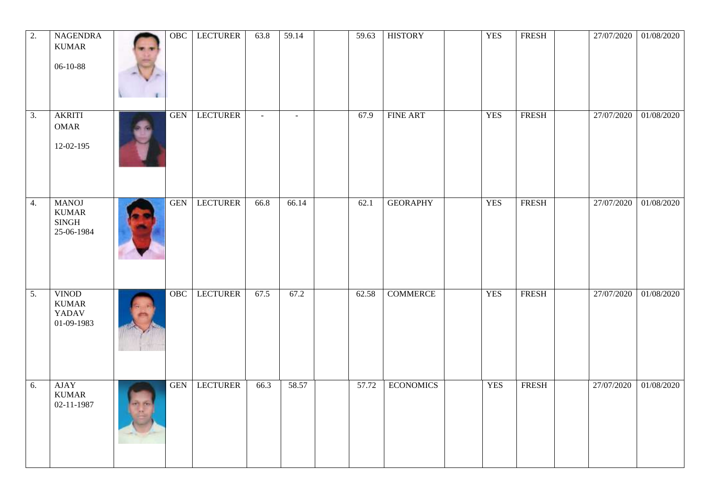| $\overline{2}$ . | <b>NAGENDRA</b><br><b>KUMAR</b><br>06-10-88                | OBC        | <b>LECTURER</b> | 63.8   | 59.14  | 59.63 | <b>HISTORY</b>   | <b>YES</b> | FRESH        | 27/07/2020 | 01/08/2020 |
|------------------|------------------------------------------------------------|------------|-----------------|--------|--------|-------|------------------|------------|--------------|------------|------------|
| 3.               | <b>AKRITI</b><br><b>OMAR</b><br>12-02-195                  | <b>GEN</b> | <b>LECTURER</b> | $\sim$ | $\sim$ | 67.9  | <b>FINE ART</b>  | <b>YES</b> | <b>FRESH</b> | 27/07/2020 | 01/08/2020 |
| 4.               | <b>MANOJ</b><br><b>KUMAR</b><br><b>SINGH</b><br>25-06-1984 | <b>GEN</b> | <b>LECTURER</b> | 66.8   | 66.14  | 62.1  | <b>GEORAPHY</b>  | <b>YES</b> | <b>FRESH</b> | 27/07/2020 | 01/08/2020 |
| 5.               | <b>VINOD</b><br><b>KUMAR</b><br><b>YADAV</b><br>01-09-1983 | OBC        | <b>LECTURER</b> | 67.5   | 67.2   | 62.58 | <b>COMMERCE</b>  | <b>YES</b> | <b>FRESH</b> | 27/07/2020 | 01/08/2020 |
| 6.               | <b>AJAY</b><br><b>KUMAR</b><br>02-11-1987                  | <b>GEN</b> | <b>LECTURER</b> | 66.3   | 58.57  | 57.72 | <b>ECONOMICS</b> | <b>YES</b> | <b>FRESH</b> | 27/07/2020 | 01/08/2020 |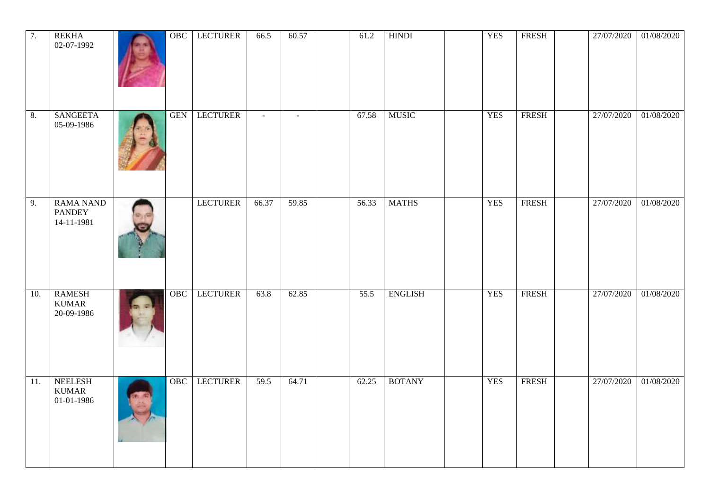| 7.  | <b>REKHA</b><br>02-07-1992                      | OBC        | <b>LECTURER</b> | 66.5   | 60.57  | 61.2  | <b>HINDI</b>   | <b>YES</b> | <b>FRESH</b> | 27/07/2020 | 01/08/2020 |
|-----|-------------------------------------------------|------------|-----------------|--------|--------|-------|----------------|------------|--------------|------------|------------|
| 8.  | <b>SANGEETA</b><br>05-09-1986                   | <b>GEN</b> | <b>LECTURER</b> | $\sim$ | $\sim$ | 67.58 | <b>MUSIC</b>   | <b>YES</b> | <b>FRESH</b> | 27/07/2020 | 01/08/2020 |
| 9.  | <b>RAMA NAND</b><br><b>PANDEY</b><br>14-11-1981 |            | <b>LECTURER</b> | 66.37  | 59.85  | 56.33 | <b>MATHS</b>   | <b>YES</b> | <b>FRESH</b> | 27/07/2020 | 01/08/2020 |
| 10. | <b>RAMESH</b><br><b>KUMAR</b><br>20-09-1986     | OBC        | <b>LECTURER</b> | 63.8   | 62.85  | 55.5  | <b>ENGLISH</b> | <b>YES</b> | <b>FRESH</b> | 27/07/2020 | 01/08/2020 |
| 11. | <b>NEELESH</b><br><b>KUMAR</b><br>01-01-1986    | OBC        | <b>LECTURER</b> | 59.5   | 64.71  | 62.25 | <b>BOTANY</b>  | <b>YES</b> | <b>FRESH</b> | 27/07/2020 | 01/08/2020 |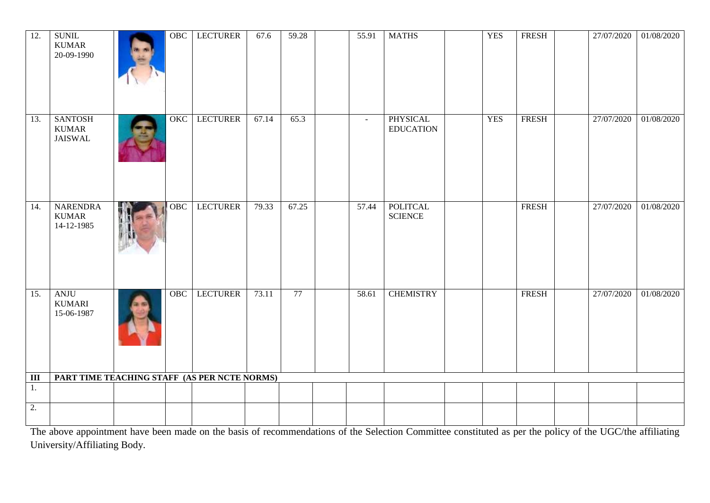| $\overline{12}$ . | <b>SUNIL</b><br><b>KUMAR</b><br>20-09-1990       | $\overline{OBC}$ | <b>LECTURER</b> | 67.6  | 59.28 | 55.91  | <b>MATHS</b>                        | <b>YES</b> | <b>FRESH</b> | 27/07/2020 | 01/08/2020 |
|-------------------|--------------------------------------------------|------------------|-----------------|-------|-------|--------|-------------------------------------|------------|--------------|------------|------------|
| 13.               | <b>SANTOSH</b><br><b>KUMAR</b><br><b>JAISWAL</b> | OKC              | <b>LECTURER</b> | 67.14 | 65.3  | $\sim$ | <b>PHYSICAL</b><br><b>EDUCATION</b> | <b>YES</b> | <b>FRESH</b> | 27/07/2020 | 01/08/2020 |
| 14.               | <b>NARENDRA</b><br><b>KUMAR</b><br>14-12-1985    | OBC              | <b>LECTURER</b> | 79.33 | 67.25 | 57.44  | <b>POLITCAL</b><br><b>SCIENCE</b>   |            | <b>FRESH</b> | 27/07/2020 | 01/08/2020 |
| 15.               | ANJU<br><b>KUMARI</b><br>15-06-1987              | OBC              | <b>LECTURER</b> | 73.11 | 77    | 58.61  | <b>CHEMISTRY</b>                    |            | <b>FRESH</b> | 27/07/2020 | 01/08/2020 |
| III               | PART TIME TEACHING STAFF (AS PER NCTE NORMS)     |                  |                 |       |       |        |                                     |            |              |            |            |
| 1.                |                                                  |                  |                 |       |       |        |                                     |            |              |            |            |
| $\overline{2}$ .  |                                                  |                  |                 |       |       |        |                                     |            |              |            |            |

The above appointment have been made on the basis of recommendations of the Selection Committee constituted as per the policy of the UGC/the affiliating University/Affiliating Body.